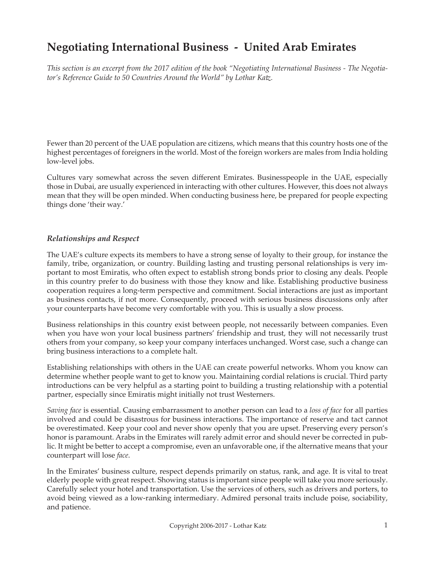# **Negotiating International Business - United Arab Emirates**

*This section is an excerpt from the 2017 edition of the book "Negotiating International Business - The Negotiator's Reference Guide to 50 Countries Around the World" by Lothar Katz.*

Fewer than 20 percent of the UAE population are citizens, which means that this country hosts one of the highest percentages of foreigners in the world. Most of the foreign workers are males from India holding low-level jobs.

Cultures vary somewhat across the seven different Emirates. Businesspeople in the UAE, especially those in Dubai, are usually experienced in interacting with other cultures. However, this does not always mean that they will be open minded. When conducting business here, be prepared for people expecting things done 'their way.'

### *Relationships and Respect*

The UAE's culture expects its members to have a strong sense of loyalty to their group, for instance the family, tribe, organization, or country. Building lasting and trusting personal relationships is very important to most Emiratis, who often expect to establish strong bonds prior to closing any deals. People in this country prefer to do business with those they know and like. Establishing productive business cooperation requires a long-term perspective and commitment. Social interactions are just as important as business contacts, if not more. Consequently, proceed with serious business discussions only after your counterparts have become very comfortable with you. This is usually a slow process.

Business relationships in this country exist between people, not necessarily between companies. Even when you have won your local business partners' friendship and trust, they will not necessarily trust others from your company, so keep your company interfaces unchanged. Worst case, such a change can bring business interactions to a complete halt.

Establishing relationships with others in the UAE can create powerful networks. Whom you know can determine whether people want to get to know you. Maintaining cordial relations is crucial. Third party introductions can be very helpful as a starting point to building a trusting relationship with a potential partner, especially since Emiratis might initially not trust Westerners.

*Saving face* is essential. Causing embarrassment to another person can lead to a *loss of face* for all parties involved and could be disastrous for business interactions. The importance of reserve and tact cannot be overestimated. Keep your cool and never show openly that you are upset. Preserving every person's honor is paramount. Arabs in the Emirates will rarely admit error and should never be corrected in public. It might be better to accept a compromise, even an unfavorable one, if the alternative means that your counterpart will lose *face*.

In the Emirates' business culture, respect depends primarily on status, rank, and age. It is vital to treat elderly people with great respect. Showing status is important since people will take you more seriously. Carefully select your hotel and transportation. Use the services of others, such as drivers and porters, to avoid being viewed as a low-ranking intermediary. Admired personal traits include poise, sociability, and patience.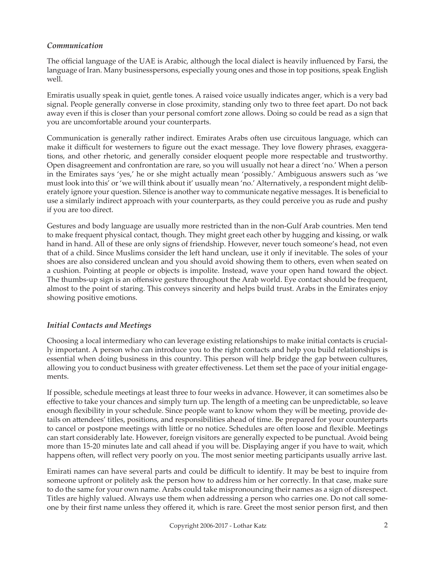## *Communication*

The official language of the UAE is Arabic, although the local dialect is heavily influenced by Farsi, the language of Iran. Many businesspersons, especially young ones and those in top positions, speak English well.

Emiratis usually speak in quiet, gentle tones. A raised voice usually indicates anger, which is a very bad signal. People generally converse in close proximity, standing only two to three feet apart. Do not back away even if this is closer than your personal comfort zone allows. Doing so could be read as a sign that you are uncomfortable around your counterparts.

Communication is generally rather indirect. Emirates Arabs often use circuitous language, which can make it difficult for westerners to figure out the exact message. They love flowery phrases, exaggerations, and other rhetoric, and generally consider eloquent people more respectable and trustworthy. Open disagreement and confrontation are rare, so you will usually not hear a direct 'no.' When a person in the Emirates says 'yes,' he or she might actually mean 'possibly.' Ambiguous answers such as 'we must look into this' or 'we will think about it' usually mean 'no.' Alternatively, a respondent might deliberately ignore your question. Silence is another way to communicate negative messages. It is beneficial to use a similarly indirect approach with your counterparts, as they could perceive you as rude and pushy if you are too direct.

Gestures and body language are usually more restricted than in the non-Gulf Arab countries. Men tend to make frequent physical contact, though. They might greet each other by hugging and kissing, or walk hand in hand. All of these are only signs of friendship. However, never touch someone's head, not even that of a child. Since Muslims consider the left hand unclean, use it only if inevitable. The soles of your shoes are also considered unclean and you should avoid showing them to others, even when seated on a cushion. Pointing at people or objects is impolite. Instead, wave your open hand toward the object. The thumbs-up sign is an offensive gesture throughout the Arab world. Eye contact should be frequent, almost to the point of staring. This conveys sincerity and helps build trust. Arabs in the Emirates enjoy showing positive emotions.

## *Initial Contacts and Meetings*

Choosing a local intermediary who can leverage existing relationships to make initial contacts is crucially important. A person who can introduce you to the right contacts and help you build relationships is essential when doing business in this country. This person will help bridge the gap between cultures, allowing you to conduct business with greater effectiveness. Let them set the pace of your initial engagements.

If possible, schedule meetings at least three to four weeks in advance. However, it can sometimes also be effective to take your chances and simply turn up. The length of a meeting can be unpredictable, so leave enough flexibility in your schedule. Since people want to know whom they will be meeting, provide details on attendees' titles, positions, and responsibilities ahead of time. Be prepared for your counterparts to cancel or postpone meetings with little or no notice. Schedules are often loose and flexible. Meetings can start considerably late. However, foreign visitors are generally expected to be punctual. Avoid being more than 15-20 minutes late and call ahead if you will be. Displaying anger if you have to wait, which happens often, will reflect very poorly on you. The most senior meeting participants usually arrive last.

Emirati names can have several parts and could be difficult to identify. It may be best to inquire from someone upfront or politely ask the person how to address him or her correctly. In that case, make sure to do the same for your own name. Arabs could take mispronouncing their names as a sign of disrespect. Titles are highly valued. Always use them when addressing a person who carries one. Do not call someone by their first name unless they offered it, which is rare. Greet the most senior person first, and then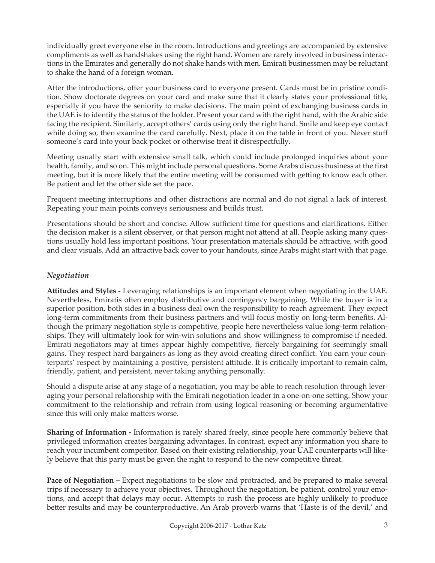individually greet everyone else in the room. Introductions and greetings are accompanied by extensive compliments as well as handshakes using the right hand. Women are rarely involved in business interactions in the Emirates and generally do not shake hands with men. Emirati businessmen may be reluctant to shake the hand of a foreign woman.

After the introductions, offer your business card to everyone present. Cards must be in pristine condition. Show doctorate degrees on your card and make sure that it clearly states your professional title, especially if you have the seniority to make decisions. The main point of exchanging business cards in the UAE is to identify the status of the holder. Present your card with the right hand, with the Arabic side facing the recipient. Similarly, accept others' cards using only the right hand. Smile and keep eye contact while doing so, then examine the card carefully. Next, place it on the table in front of you. Never stuff someone's card into your back pocket or otherwise treat it disrespectfully.

Meeting usually start with extensive small talk, which could include prolonged inquiries about your health, family, and so on. This might include personal questions. Some Arabs discuss business at the first meeting, but it is more likely that the entire meeting will be consumed with getting to know each other. Be patient and let the other side set the pace.

Frequent meeting interruptions and other distractions are normal and do not signal a lack of interest. Repeating your main points conveys seriousness and builds trust.

Presentations should be short and concise. Allow sufficient time for questions and clarifications. Either the decision maker is a silent observer, or that person might not attend at all. People asking many questions usually hold less important positions. Your presentation materials should be attractive, with good and clear visuals. Add an attractive back cover to your handouts, since Arabs might start with that page.

## *Negotiation*

**Attitudes and Styles -** Leveraging relationships is an important element when negotiating in the UAE. Nevertheless, Emiratis often employ distributive and contingency bargaining. While the buyer is in a superior position, both sides in a business deal own the responsibility to reach agreement. They expect long-term commitments from their business partners and will focus mostly on long-term benefits. Although the primary negotiation style is competitive, people here nevertheless value long-term relationships. They will ultimately look for win-win solutions and show willingness to compromise if needed. Emirati negotiators may at times appear highly competitive, fiercely bargaining for seemingly small gains. They respect hard bargainers as long as they avoid creating direct conflict. You earn your counterparts' respect by maintaining a positive, persistent attitude. It is critically important to remain calm, friendly, patient, and persistent, never taking anything personally.

Should a dispute arise at any stage of a negotiation, you may be able to reach resolution through leveraging your personal relationship with the Emirati negotiation leader in a one-on-one setting. Show your commitment to the relationship and refrain from using logical reasoning or becoming argumentative since this will only make matters worse.

**Sharing of Information -** Information is rarely shared freely, since people here commonly believe that privileged information creates bargaining advantages. In contrast, expect any information you share to reach your incumbent competitor. Based on their existing relationship, your UAE counterparts will likely believe that this party must be given the right to respond to the new competitive threat.

**Pace of Negotiation –** Expect negotiations to be slow and protracted, and be prepared to make several trips if necessary to achieve your objectives. Throughout the negotiation, be patient, control your emotions, and accept that delays may occur. Attempts to rush the process are highly unlikely to produce better results and may be counterproductive. An Arab proverb warns that 'Haste is of the devil,' and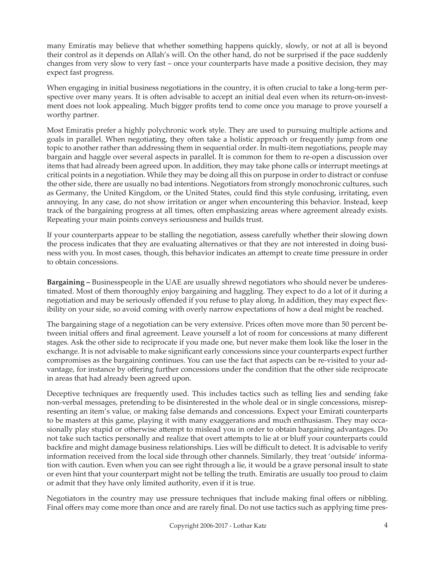many Emiratis may believe that whether something happens quickly, slowly, or not at all is beyond their control as it depends on Allah's will. On the other hand, do not be surprised if the pace suddenly changes from very slow to very fast – once your counterparts have made a positive decision, they may expect fast progress.

When engaging in initial business negotiations in the country, it is often crucial to take a long-term perspective over many years. It is often advisable to accept an initial deal even when its return-on-investment does not look appealing. Much bigger profits tend to come once you manage to prove yourself a worthy partner.

Most Emiratis prefer a highly polychronic work style. They are used to pursuing multiple actions and goals in parallel. When negotiating, they often take a holistic approach or frequently jump from one topic to another rather than addressing them in sequential order. In multi-item negotiations, people may bargain and haggle over several aspects in parallel. It is common for them to re-open a discussion over items that had already been agreed upon. In addition, they may take phone calls or interrupt meetings at critical points in a negotiation. While they may be doing all this on purpose in order to distract or confuse the other side, there are usually no bad intentions. Negotiators from strongly monochronic cultures, such as Germany, the United Kingdom, or the United States, could find this style confusing, irritating, even annoying. In any case, do not show irritation or anger when encountering this behavior. Instead, keep track of the bargaining progress at all times, often emphasizing areas where agreement already exists. Repeating your main points conveys seriousness and builds trust.

If your counterparts appear to be stalling the negotiation, assess carefully whether their slowing down the process indicates that they are evaluating alternatives or that they are not interested in doing business with you. In most cases, though, this behavior indicates an attempt to create time pressure in order to obtain concessions.

**Bargaining –** Businesspeople in the UAE are usually shrewd negotiators who should never be underestimated. Most of them thoroughly enjoy bargaining and haggling. They expect to do a lot of it during a negotiation and may be seriously offended if you refuse to play along. In addition, they may expect flexibility on your side, so avoid coming with overly narrow expectations of how a deal might be reached.

The bargaining stage of a negotiation can be very extensive. Prices often move more than 50 percent between initial offers and final agreement. Leave yourself a lot of room for concessions at many different stages. Ask the other side to reciprocate if you made one, but never make them look like the loser in the exchange. It is not advisable to make significant early concessions since your counterparts expect further compromises as the bargaining continues. You can use the fact that aspects can be re-visited to your advantage, for instance by offering further concessions under the condition that the other side reciprocate in areas that had already been agreed upon.

Deceptive techniques are frequently used. This includes tactics such as telling lies and sending fake non-verbal messages, pretending to be disinterested in the whole deal or in single concessions, misrepresenting an item's value, or making false demands and concessions. Expect your Emirati counterparts to be masters at this game, playing it with many exaggerations and much enthusiasm. They may occasionally play stupid or otherwise attempt to mislead you in order to obtain bargaining advantages. Do not take such tactics personally and realize that overt attempts to lie at or bluff your counterparts could backfire and might damage business relationships. Lies will be difficult to detect. It is advisable to verify information received from the local side through other channels. Similarly, they treat 'outside' information with caution. Even when you can see right through a lie, it would be a grave personal insult to state or even hint that your counterpart might not be telling the truth. Emiratis are usually too proud to claim or admit that they have only limited authority, even if it is true.

Negotiators in the country may use pressure techniques that include making final offers or nibbling. Final offers may come more than once and are rarely final. Do not use tactics such as applying time pres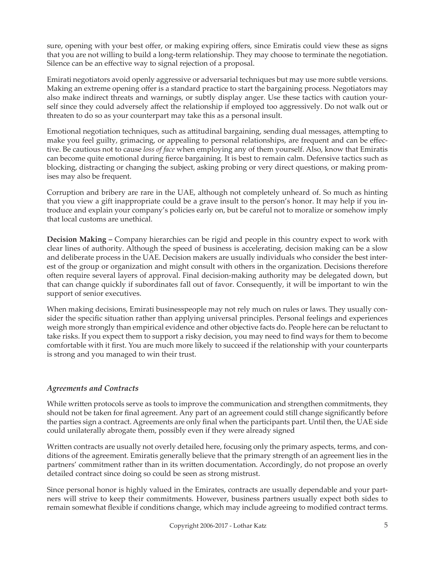sure, opening with your best offer, or making expiring offers, since Emiratis could view these as signs that you are not willing to build a long-term relationship. They may choose to terminate the negotiation. Silence can be an effective way to signal rejection of a proposal.

Emirati negotiators avoid openly aggressive or adversarial techniques but may use more subtle versions. Making an extreme opening offer is a standard practice to start the bargaining process. Negotiators may also make indirect threats and warnings, or subtly display anger. Use these tactics with caution yourself since they could adversely affect the relationship if employed too aggressively. Do not walk out or threaten to do so as your counterpart may take this as a personal insult.

Emotional negotiation techniques, such as attitudinal bargaining, sending dual messages, attempting to make you feel guilty, grimacing, or appealing to personal relationships, are frequent and can be effective. Be cautious not to cause *loss of face* when employing any of them yourself. Also, know that Emiratis can become quite emotional during fierce bargaining. It is best to remain calm. Defensive tactics such as blocking, distracting or changing the subject, asking probing or very direct questions, or making promises may also be frequent.

Corruption and bribery are rare in the UAE, although not completely unheard of. So much as hinting that you view a gift inappropriate could be a grave insult to the person's honor. It may help if you introduce and explain your company's policies early on, but be careful not to moralize or somehow imply that local customs are unethical.

**Decision Making –** Company hierarchies can be rigid and people in this country expect to work with clear lines of authority. Although the speed of business is accelerating, decision making can be a slow and deliberate process in the UAE. Decision makers are usually individuals who consider the best interest of the group or organization and might consult with others in the organization. Decisions therefore often require several layers of approval. Final decision-making authority may be delegated down, but that can change quickly if subordinates fall out of favor. Consequently, it will be important to win the support of senior executives.

When making decisions, Emirati businesspeople may not rely much on rules or laws. They usually consider the specific situation rather than applying universal principles. Personal feelings and experiences weigh more strongly than empirical evidence and other objective facts do. People here can be reluctant to take risks. If you expect them to support a risky decision, you may need to find ways for them to become comfortable with it first. You are much more likely to succeed if the relationship with your counterparts is strong and you managed to win their trust.

# *Agreements and Contracts*

While written protocols serve as tools to improve the communication and strengthen commitments, they should not be taken for final agreement. Any part of an agreement could still change significantly before the parties sign a contract. Agreements are only final when the participants part. Until then, the UAE side could unilaterally abrogate them, possibly even if they were already signed

Written contracts are usually not overly detailed here, focusing only the primary aspects, terms, and conditions of the agreement. Emiratis generally believe that the primary strength of an agreement lies in the partners' commitment rather than in its written documentation. Accordingly, do not propose an overly detailed contract since doing so could be seen as strong mistrust.

Since personal honor is highly valued in the Emirates, contracts are usually dependable and your partners will strive to keep their commitments. However, business partners usually expect both sides to remain somewhat flexible if conditions change, which may include agreeing to modified contract terms.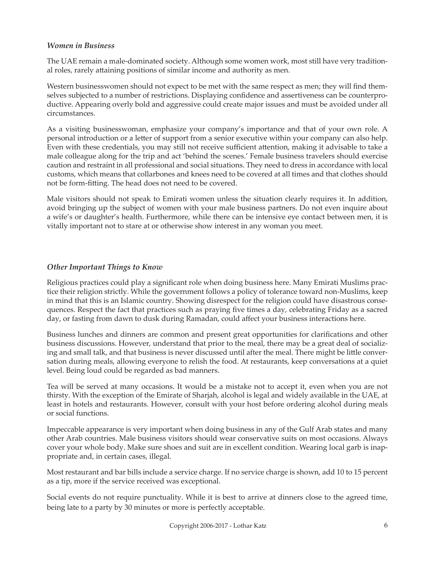#### *Women in Business*

The UAE remain a male-dominated society. Although some women work, most still have very traditional roles, rarely attaining positions of similar income and authority as men.

Western businesswomen should not expect to be met with the same respect as men; they will find themselves subjected to a number of restrictions. Displaying confidence and assertiveness can be counterproductive. Appearing overly bold and aggressive could create major issues and must be avoided under all circumstances.

As a visiting businesswoman, emphasize your company's importance and that of your own role. A personal introduction or a letter of support from a senior executive within your company can also help. Even with these credentials, you may still not receive sufficient attention, making it advisable to take a male colleague along for the trip and act 'behind the scenes.' Female business travelers should exercise caution and restraint in all professional and social situations. They need to dress in accordance with local customs, which means that collarbones and knees need to be covered at all times and that clothes should not be form-fitting. The head does not need to be covered.

Male visitors should not speak to Emirati women unless the situation clearly requires it. In addition, avoid bringing up the subject of women with your male business partners. Do not even inquire about a wife's or daughter's health. Furthermore, while there can be intensive eye contact between men, it is vitally important not to stare at or otherwise show interest in any woman you meet.

### *Other Important Things to Know*

Religious practices could play a significant role when doing business here. Many Emirati Muslims practice their religion strictly. While the government follows a policy of tolerance toward non-Muslims, keep in mind that this is an Islamic country. Showing disrespect for the religion could have disastrous consequences. Respect the fact that practices such as praying five times a day, celebrating Friday as a sacred day, or fasting from dawn to dusk during Ramadan, could affect your business interactions here.

Business lunches and dinners are common and present great opportunities for clarifications and other business discussions. However, understand that prior to the meal, there may be a great deal of socializing and small talk, and that business is never discussed until after the meal. There might be little conversation during meals, allowing everyone to relish the food. At restaurants, keep conversations at a quiet level. Being loud could be regarded as bad manners.

Tea will be served at many occasions. It would be a mistake not to accept it, even when you are not thirsty. With the exception of the Emirate of Sharjah, alcohol is legal and widely available in the UAE, at least in hotels and restaurants. However, consult with your host before ordering alcohol during meals or social functions.

Impeccable appearance is very important when doing business in any of the Gulf Arab states and many other Arab countries. Male business visitors should wear conservative suits on most occasions. Always cover your whole body. Make sure shoes and suit are in excellent condition. Wearing local garb is inappropriate and, in certain cases, illegal.

Most restaurant and bar bills include a service charge. If no service charge is shown, add 10 to 15 percent as a tip, more if the service received was exceptional.

Social events do not require punctuality. While it is best to arrive at dinners close to the agreed time, being late to a party by 30 minutes or more is perfectly acceptable.